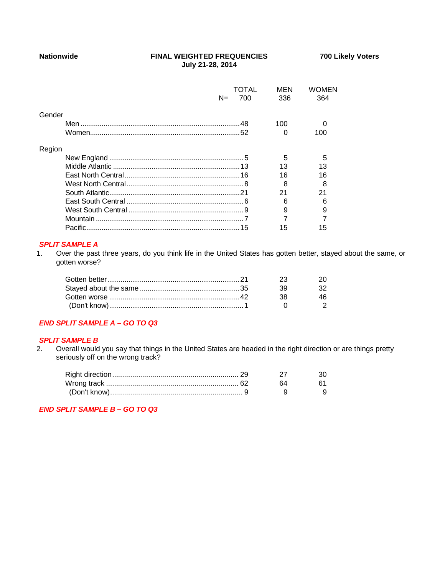### **Nationwide FINAL WEIGHTED FREQUENCIES 700 Likely Voters July 21-28, 2014**

|        |       | TOTAL | MFN | WOMFN |
|--------|-------|-------|-----|-------|
|        | $N =$ | 700   | 336 | 364   |
|        |       |       |     |       |
| Gender |       |       |     |       |
|        |       |       | 100 |       |
|        |       |       | 0   | 100   |
|        |       |       |     |       |
| Region |       |       |     |       |
|        |       |       | 5   | 5     |
|        |       |       | 13  | 13    |
|        |       |       | 16  | 16    |
|        |       |       | 8   | 8     |
|        |       |       | 21  | 21    |
|        |       |       |     |       |
|        |       |       |     |       |
|        |       |       |     |       |
|        |       |       | 15  | 15    |

## *SPLIT SAMPLE A*

1. Over the past three years, do you think life in the United States has gotten better, stayed about the same, or gotten worse?

|  | ツマ  |  |
|--|-----|--|
|  | ky. |  |
|  | ∹к  |  |
|  |     |  |
|  |     |  |

#### *END SPLIT SAMPLE A – GO TO Q3*

# **SPLIT SAMPLE B**<br>2. Overall would

2. Overall would you say that things in the United States are headed in the right direction or are things pretty seriously off on the wrong track?

|  | 64 |  |
|--|----|--|
|  |    |  |

*END SPLIT SAMPLE B – GO TO Q3*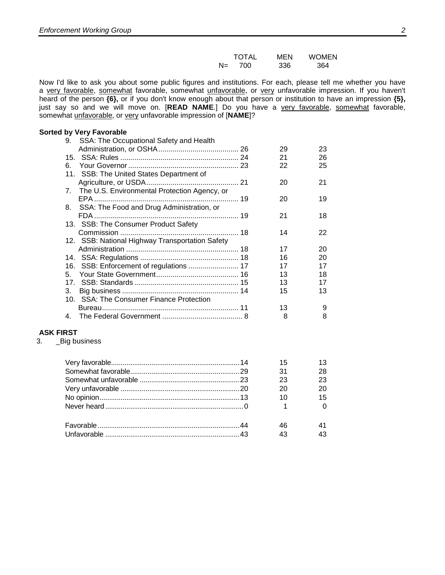Now I'd like to ask you about some public figures and institutions. For each, please tell me whether you have a very favorable, somewhat favorable, somewhat unfavorable, or very unfavorable impression. If you haven't heard of the person **{6},** or if you don't know enough about that person or institution to have an impression **{5},** just say so and we will move on. [**READ NAME**.] Do you have a very favorable, somewhat favorable, somewhat unfavorable, or very unfavorable impression of [**NAME**]?

#### **Sorted by Very Favorable**

| 9. | SSA: The Occupational Safety and Health         |    |    |
|----|-------------------------------------------------|----|----|
|    |                                                 | 29 | 23 |
|    |                                                 | 21 | 26 |
| 6. |                                                 | 22 | 25 |
|    | 11. SSB: The United States Department of        |    |    |
|    |                                                 | 20 | 21 |
| 7. | The U.S. Environmental Protection Agency, or    |    |    |
|    |                                                 | 20 | 19 |
|    | 8. SSA: The Food and Drug Administration, or    |    |    |
|    |                                                 | 21 | 18 |
|    | 13. SSB: The Consumer Product Safety            |    |    |
|    |                                                 | 14 | 22 |
|    | 12. SSB: National Highway Transportation Safety |    |    |
|    |                                                 | 17 | 20 |
|    |                                                 | 16 | 20 |
|    |                                                 | 17 | 17 |
| 5  |                                                 | 13 | 18 |
| 17 |                                                 | 13 | 17 |
| 3. |                                                 | 15 | 13 |
|    | 10. SSA: The Consumer Finance Protection        |    |    |
|    |                                                 | 13 | 9  |
| 4. |                                                 | 8  | 8  |
|    |                                                 |    |    |

#### **ASK FIRST**

3. \_Big business

| 31 | 28 |
|----|----|
| 23 | 23 |
| 20 |    |
| 10 | 15 |
|    |    |
|    |    |
|    |    |
|    |    |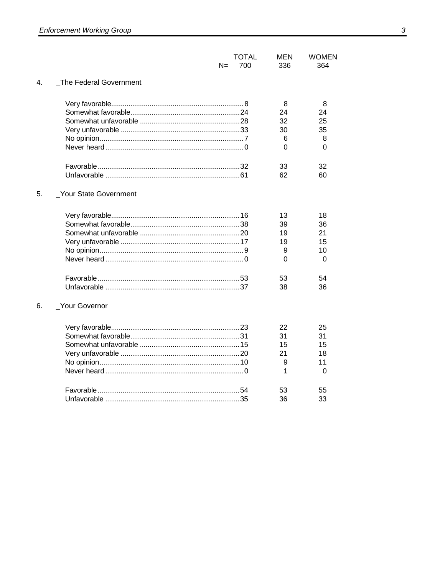|    | <b>TOTAL</b><br>N=<br>700 | <b>MEN</b><br>336 | <b>WOMEN</b><br>364 |
|----|---------------------------|-------------------|---------------------|
| 4. | The Federal Government    |                   |                     |
|    |                           | 8                 | 8                   |
|    |                           | 24                | 24                  |
|    |                           | 32                | 25                  |
|    |                           | 30                | 35                  |
|    |                           | 6                 | 8                   |
|    |                           | 0                 | 0                   |
|    |                           | 33                | 32                  |
|    |                           | 62                | 60                  |
| 5. | _Your State Government    |                   |                     |
|    |                           | 13                | 18                  |
|    |                           | 39                | 36                  |
|    |                           | 19                | 21                  |
|    |                           | 19                | 15                  |
|    |                           | 9                 | 10                  |
|    |                           | 0                 | $\Omega$            |
|    |                           | 53                | 54                  |
|    |                           | 38                | 36                  |
| 6. | _Your Governor            |                   |                     |
|    |                           | 22                | 25                  |
|    |                           | 31                | 31                  |
|    |                           | 15                | 15                  |
|    |                           | 21                | 18                  |
|    |                           | 9                 | 11                  |
|    |                           | 1                 | 0                   |
|    |                           | 53                | 55                  |
|    |                           | 36                | 33                  |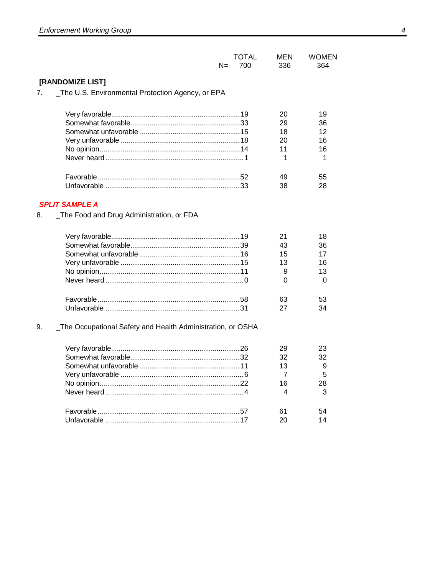| <b>TOTAL</b> | MEN | <b>WOMEN</b> |
|--------------|-----|--------------|
| $N = 700$    | 336 | 364          |

# [RANDOMIZE LIST]

7. \_\_ The U.S. Environmental Protection Agency, or EPA

|  | 29              | 36       |
|--|-----------------|----------|
|  | 18              | 12       |
|  | 20              | 16       |
|  | $\overline{11}$ | 16       |
|  |                 | $\sim$ 1 |
|  | 49              | 55       |
|  | 38              | 28       |
|  |                 |          |

# **SPLIT SAMPLE A**

8. \_The Food and Drug Administration, or FDA

|  | 43 | 36 |
|--|----|----|
|  | 15 | 17 |
|  | 13 | 16 |
|  |    | 13 |
|  |    |    |
|  | 63 | 53 |
|  | 27 |    |

#### \_The Occupational Safety and Health Administration, or OSHA 9.

|  | $32 \quad \text{or}$ | 32 |
|--|----------------------|----|
|  | 13                   |    |
|  |                      |    |
|  | 16                   | 28 |
|  |                      | ્ર |
|  |                      |    |
|  | 61                   |    |
|  |                      |    |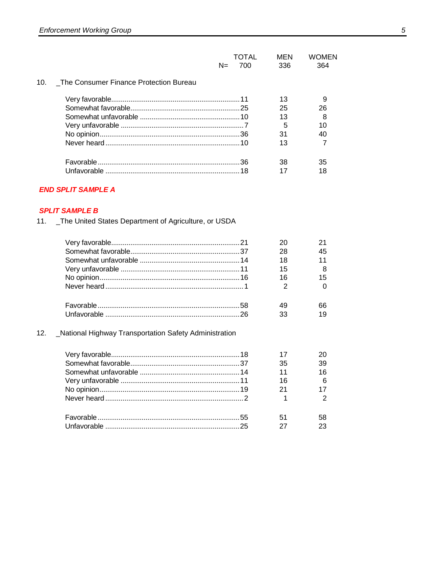|                                               | TOTAL<br>$N =$<br>700 | MFN<br>336. | WOMEN<br>364 |
|-----------------------------------------------|-----------------------|-------------|--------------|
| The Consumer Finance Protection Bureau<br>10. |                       |             |              |
|                                               |                       | 13          |              |
|                                               |                       | 25          | 26           |
|                                               |                       | 13          | 8            |
|                                               |                       | 5           | 10           |
|                                               |                       | 31          | 40           |
|                                               |                       | 13          |              |
|                                               |                       | 38          | 35           |
|                                               |                       |             | 18           |

# **END SPLIT SAMPLE A**

## **SPLIT SAMPLE B**

11. \_ The United States Department of Agriculture, or USDA

|     |                                                        | 20 | 21 |
|-----|--------------------------------------------------------|----|----|
|     |                                                        | 28 | 45 |
|     |                                                        | 18 | 11 |
|     |                                                        | 15 | 8  |
|     |                                                        | 16 | 15 |
|     |                                                        | 2  | 0  |
|     |                                                        | 49 | 66 |
|     |                                                        | 33 | 19 |
| 12. | _National Highway Transportation Safety Administration |    |    |
|     |                                                        |    | 20 |
|     |                                                        | 35 | 39 |

| $\mathbf{v}$ or $\mathbf{v}$ and $\mathbf{v}$ are $\mathbf{v}$ and $\mathbf{v}$ are $\mathbf{v}$ and $\mathbf{v}$ are $\mathbf{v}$ and $\mathbf{v}$ are $\mathbf{v}$ and $\mathbf{v}$ are $\mathbf{v}$ and $\mathbf{v}$ are $\mathbf{v}$ and $\mathbf{v}$ are $\mathbf{v}$ and $\mathbf{v}$ are |                 | LV.             |
|-------------------------------------------------------------------------------------------------------------------------------------------------------------------------------------------------------------------------------------------------------------------------------------------------|-----------------|-----------------|
|                                                                                                                                                                                                                                                                                                 | 35              | 39              |
|                                                                                                                                                                                                                                                                                                 | 11              | 16              |
|                                                                                                                                                                                                                                                                                                 | 16              | $6\overline{6}$ |
|                                                                                                                                                                                                                                                                                                 | 21              | 17              |
|                                                                                                                                                                                                                                                                                                 | $\overline{1}$  | $\overline{2}$  |
|                                                                                                                                                                                                                                                                                                 | 51.             | 58              |
|                                                                                                                                                                                                                                                                                                 |                 |                 |
|                                                                                                                                                                                                                                                                                                 | $\overline{27}$ | 23              |
|                                                                                                                                                                                                                                                                                                 |                 |                 |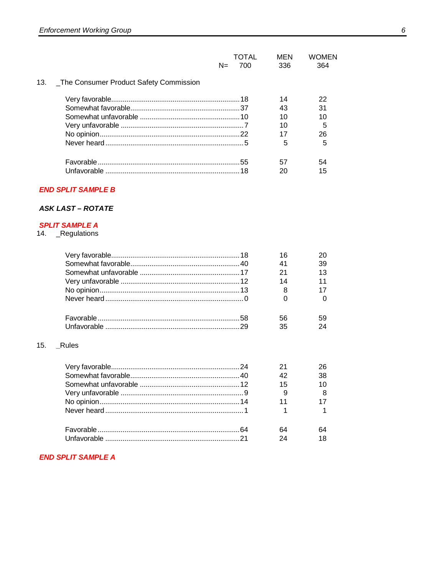|     |                                         | $N =$ | OTAI.<br>700 | MEN<br>336 | WOMFN<br>364 |
|-----|-----------------------------------------|-------|--------------|------------|--------------|
| 13. | _The Consumer Product Safety Commission |       |              |            |              |
|     |                                         |       |              | 14         | 22           |
|     |                                         |       |              | 43         | 31           |
|     |                                         |       |              | 10         | 10           |
|     |                                         |       |              | 10         | 5            |
|     |                                         |       |              |            | 26           |
|     |                                         |       |              | 5          | 5            |
|     |                                         |       |              | 57         | 54           |
|     |                                         |       |              |            | 15           |
|     |                                         |       |              |            |              |

# **END SPLIT SAMPLE B**

# **ASK LAST - ROTATE**

## **SPLIT SAMPLE A**

14. \_Regulations

|    | 39 |
|----|----|
|    | 13 |
| 14 | 11 |
|    |    |
|    |    |
| 56 | 59 |
| 35 |    |
|    |    |

#### 15. \_Rules

|  |               | 38  |
|--|---------------|-----|
|  | 15            |     |
|  |               | - 8 |
|  | $11$ and $11$ |     |
|  | 1             |     |
|  |               |     |
|  | 24            |     |

# **END SPLIT SAMPLE A**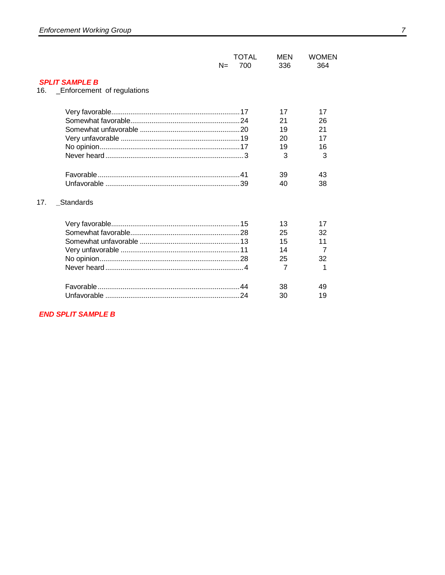|                                |       | <b>TOTAL</b> | MEN            | <b>WOMEN</b> |
|--------------------------------|-------|--------------|----------------|--------------|
|                                | $N =$ | 700          | 336            | 364          |
| <b>SPLIT SAMPLE B</b>          |       |              |                |              |
| 16. Enforcement of regulations |       |              |                |              |
|                                |       |              |                |              |
|                                |       |              | 17             | 17           |
|                                |       |              | 21             | 26           |
|                                |       |              | 19             | 21           |
|                                |       |              | 20             | 17           |
|                                |       |              | 19             | 16           |
|                                |       |              | 3              | 3            |
|                                |       |              |                |              |
|                                |       |              | 39             | 43           |
|                                |       |              | 40             | 38           |
| 17.<br>Standards               |       |              |                |              |
|                                |       |              | 13             | 17           |
|                                |       |              | 25             | 32           |
|                                |       |              | 15             | 11           |
|                                |       |              | 14             | 7            |
|                                |       |              | 25             | 32           |
|                                |       |              | $\overline{7}$ | 1            |
|                                |       |              | 38             | 49           |
|                                |       |              | 30             | 19           |
|                                |       |              |                |              |

**END SPLIT SAMPLE B**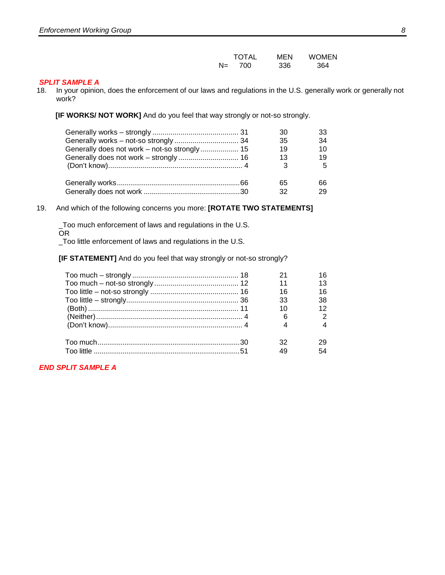#### *SPLIT SAMPLE A*

18. In your opinion, does the enforcement of our laws and regulations in the U.S. generally work or generally not work?

**[IF WORKS/ NOT WORK]** And do you feel that way strongly or not-so strongly.

|                                              | 30 | 33 |
|----------------------------------------------|----|----|
|                                              | 35 | 34 |
| Generally does not work - not-so strongly 15 | 19 | 10 |
|                                              | 13 | 19 |
|                                              | 3  | 5  |
|                                              | 65 | 66 |
|                                              | 32 | 29 |

#### 19. And which of the following concerns you more: **[ROTATE TWO STATEMENTS]**

\_Too much enforcement of laws and regulations in the U.S. OR

\_Too little enforcement of laws and regulations in the U.S.

**[IF STATEMENT]** And do you feel that way strongly or not-so strongly?

|  | 11 |    |
|--|----|----|
|  | 16 | 16 |
|  | 33 | 38 |
|  |    |    |
|  |    |    |
|  |    |    |
|  |    |    |
|  |    |    |

*END SPLIT SAMPLE A*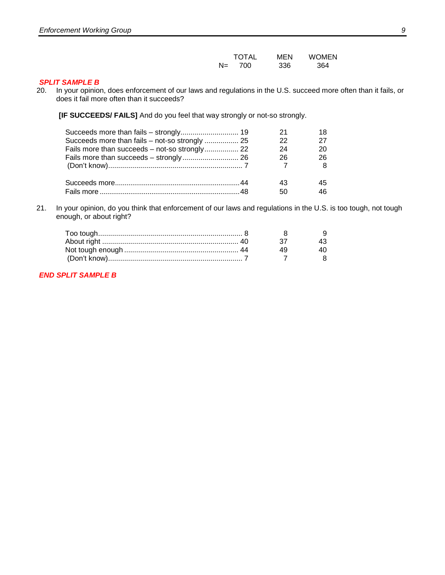|       | <b>TOTAL</b> | MEN | <b>WOMEN</b> |
|-------|--------------|-----|--------------|
| $N =$ | 700          | 336 | 364          |

# *SPLIT SAMPLE B* 20. In your opinion

In your opinion, does enforcement of our laws and regulations in the U.S. succeed more often than it fails, or does it fail more often than it succeeds?

**[IF SUCCEEDS/ FAILS]** And do you feel that way strongly or not-so strongly.

| Succeeds more than fails - strongly 19         |    |    |
|------------------------------------------------|----|----|
| Succeeds more than fails – not-so strongly  25 | 22 | 27 |
| Fails more than succeeds - not-so strongly 22  | 24 | 20 |
|                                                | 26 | 26 |
|                                                |    |    |
|                                                |    | 45 |
|                                                | 50 |    |

21. In your opinion, do you think that enforcement of our laws and regulations in the U.S. is too tough, not tough enough, or about right?

*END SPLIT SAMPLE B*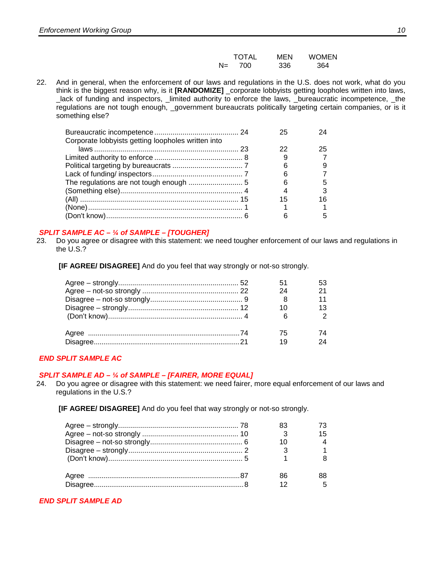|     | <b>TOTAL</b> | MEN | <b>WOMEN</b> |
|-----|--------------|-----|--------------|
| N=. | 700          | 336 | 364          |

22. And in general, when the enforcement of our laws and regulations in the U.S. does not work, what do you think is the biggest reason why, is it **[RANDOMIZE]** \_corporate lobbyists getting loopholes written into laws, \_lack of funding and inspectors, \_limited authority to enforce the laws, \_bureaucratic incompetence, \_the regulations are not tough enough, \_government bureaucrats politically targeting certain companies, or is it something else?

| Corporate lobbyists getting loopholes written into |    |    |
|----------------------------------------------------|----|----|
|                                                    | 22 | 25 |
|                                                    |    |    |
|                                                    |    |    |
|                                                    |    |    |
|                                                    |    |    |
|                                                    |    |    |
|                                                    | 15 | 16 |
|                                                    |    |    |
|                                                    |    |    |

### *SPLIT SAMPLE AC – ¼ of SAMPLE – [TOUGHER]*

23. Do you agree or disagree with this statement: we need tougher enforcement of our laws and regulations in the U.S.?

**[IF AGREE/ DISAGREE]** And do you feel that way strongly or not-so strongly.

|  | 24<br>6  | $\mathcal{P}$ |
|--|----------|---------------|
|  | 75<br>19 | 74            |

### *END SPLIT SAMPLE AC*

#### *SPLIT SAMPLE AD – ¼ of SAMPLE – [FAIRER, MORE EQUAL]*

- 24. Do you agree or disagree with this statement: we need fairer, more equal enforcement of our laws and regulations in the U.S.?
	- **[IF AGREE/ DISAGREE]** And do you feel that way strongly or not-so strongly.

|  | 15 |
|--|----|
|  |    |
|  |    |
|  |    |
|  |    |
|  |    |

### *END SPLIT SAMPLE AD*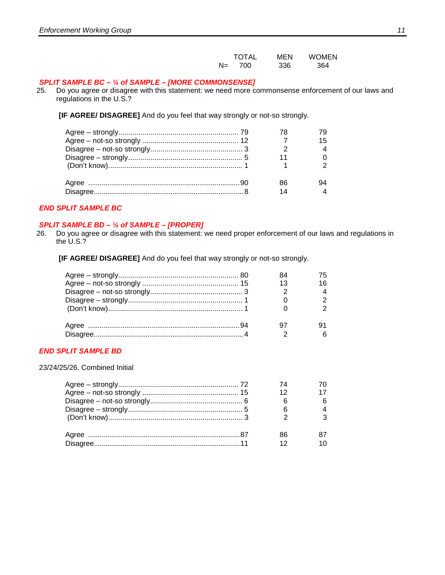|       | <b>TOTAL</b> | MFN | <b>WOMEN</b> |
|-------|--------------|-----|--------------|
| $N =$ | -700         | 336 | 364          |

#### *SPLIT SAMPLE BC – ¼ of SAMPLE – [MORE COMMONSENSE]*

25. Do you agree or disagree with this statement: we need more commonsense enforcement of our laws and regulations in the U.S.?

**[IF AGREE/ DISAGREE]** And do you feel that way strongly or not-so strongly.

### *END SPLIT SAMPLE BC*

# *SPLIT SAMPLE BD – <sup>1</sup>/4 of SAMPLE – [PROPER]*<br>26. Do you agree or disagree with this statement: \

Do you agree or disagree with this statement: we need proper enforcement of our laws and regulations in the U.S.?

**[IF AGREE/ DISAGREE]** And do you feel that way strongly or not-so strongly.

#### *END SPLIT SAMPLE BD*

23/24/25/26. Combined Initial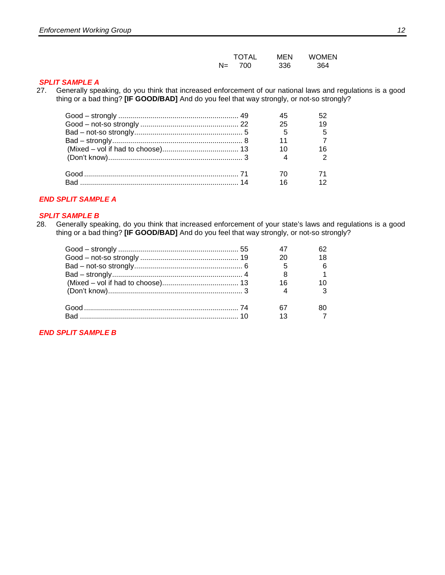|    | <b>TOTAL</b> | MEN | <b>WOMEN</b> |
|----|--------------|-----|--------------|
| N= | 700          | 336 | 364          |

### *SPLIT SAMPLE A*

27. Generally speaking, do you think that increased enforcement of our national laws and regulations is a good thing or a bad thing? **[IF GOOD/BAD]** And do you feel that way strongly, or not-so strongly?

|  | 25              | 19 |
|--|-----------------|----|
|  | - 5             | -5 |
|  | 11              |    |
|  | 10 <sup>1</sup> | 16 |
|  |                 |    |
|  |                 |    |
|  | 16              |    |
|  |                 |    |

#### *END SPLIT SAMPLE A*

### *SPLIT SAMPLE B*

28. Generally speaking, do you think that increased enforcement of your state's laws and regulations is a good thing or a bad thing? **[IF GOOD/BAD]** And do you feel that way strongly, or not-so strongly?

|  | 16 |  |
|--|----|--|
|  |    |  |
|  |    |  |
|  |    |  |
|  |    |  |

*END SPLIT SAMPLE B*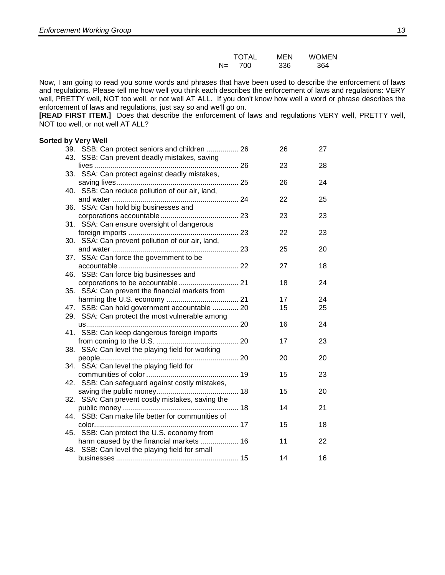|       | <b>TOTAL</b> | MEN | <b>WOMEN</b> |
|-------|--------------|-----|--------------|
| $N =$ | 700          | 336 | 364          |

Now, I am going to read you some words and phrases that have been used to describe the enforcement of laws and regulations. Please tell me how well you think each describes the enforcement of laws and regulations: VERY well, PRETTY well, NOT too well, or not well AT ALL. If you don't know how well a word or phrase describes the enforcement of laws and regulations, just say so and we'll go on.

**[READ FIRST ITEM.]** Does that describe the enforcement of laws and regulations VERY well, PRETTY well, NOT too well, or not well AT ALL?

#### **Sorted by Very Well** 39. SSB: Can protect seniors and children ................. 26 26 27 43. SSB: Can prevent deadly mistakes, saving lives ........................................................................ 26 23 28 33. SSA: Can protect against deadly mistakes, saving lives............................................................. 25 26 24 40. SSB: Can reduce pollution of our air, land, and water ............................................................... 24 22 25 36. SSA: Can hold big businesses and corporations accountable....................................... 23 23 23 31. SSA: Can ensure oversight of dangerous foreign imports ....................................................... 23 22 23 30. SSA: Can prevent pollution of our air, land, and water ............................................................... 23 25 20 37. SSA: Can force the government to be accountable............................................................ 22 27 18 46. SSB: Can force big businesses and corporations to be accountable.............................. 21 18 24 35. SSA: Can prevent the financial markets from harming the U.S. economy .................................... 21 17 24 47. SSB: Can hold government accountable ............. 20 15 25 29. SSA: Can protect the most vulnerable among us............................................................................ 20 16 24 41. SSB: Can keep dangerous foreign imports from coming to the U.S. ......................................... 20 17 23 38. SSA: Can level the playing field for working people..................................................................... 20 20 20 34. SSA: Can level the playing field for communities of color .............................................. 19 15 23 42. SSB: Can safeguard against costly mistakes, saving the public money......................................... 18 15 20 32. SSA: Can prevent costly mistakes, saving the public money .......................................................... 18 14 21 44. SSB: Can make life better for communities of color........................................................................ 17 15 18 45. SSB: Can protect the U.S. economy from harm caused by the financial markets .................... 16 11 22 48. SSB: Can level the playing field for small businesses ............................................................. 15 14 16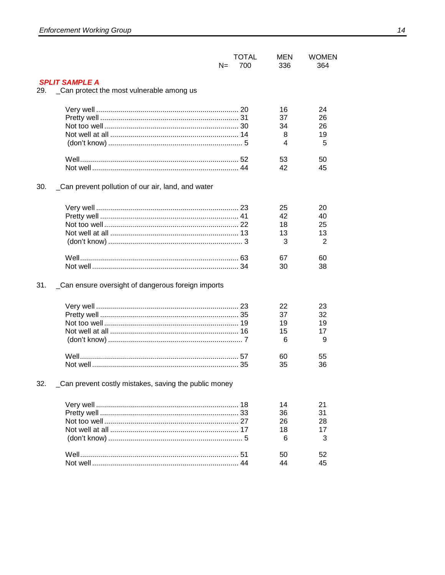|     |                                                                    | $N=$ | <b>TOTAL</b><br>700 | MEN<br>336                | <b>WOMEN</b><br>364             |
|-----|--------------------------------------------------------------------|------|---------------------|---------------------------|---------------------------------|
| 29. | <b>SPLIT SAMPLE A</b><br>_Can protect the most vulnerable among us |      |                     |                           |                                 |
|     |                                                                    |      |                     | 16<br>37<br>34<br>8<br>4  | 24<br>26<br>26<br>19<br>5       |
|     |                                                                    |      |                     | 53<br>42                  | 50<br>45                        |
| 30. | _Can prevent pollution of our air, land, and water                 |      |                     |                           |                                 |
|     |                                                                    |      |                     | 25<br>42<br>18<br>13<br>3 | 20<br>40<br>25<br>13<br>2       |
|     |                                                                    |      |                     | 67<br>30                  | 60<br>38                        |
| 31. | _Can ensure oversight of dangerous foreign imports                 |      |                     |                           |                                 |
|     |                                                                    |      |                     | 22<br>37<br>19<br>15<br>6 | 23<br>32<br>19<br>17<br>9<br>55 |
|     |                                                                    |      |                     | 60<br>35                  | 36                              |
| 32. | _Can prevent costly mistakes, saving the public money              |      |                     |                           |                                 |
|     |                                                                    |      |                     | 14<br>36<br>26<br>18<br>6 | 21<br>31<br>28<br>17<br>3       |
|     |                                                                    |      |                     | 50<br>44                  | 52<br>45                        |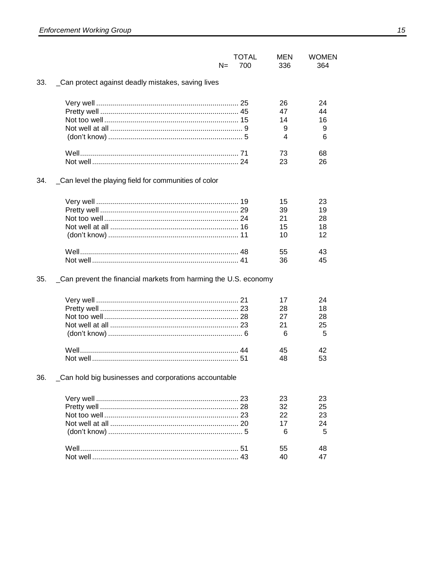|     | $N =$                                                            | <b>TOTAL</b><br>700 | MEN<br>336                      | <b>WOMEN</b><br>364             |
|-----|------------------------------------------------------------------|---------------------|---------------------------------|---------------------------------|
| 33. | _Can protect against deadly mistakes, saving lives               |                     |                                 |                                 |
|     |                                                                  |                     | 26<br>47<br>14<br>9<br>4        | 24<br>44<br>16<br>9<br>6        |
|     |                                                                  |                     | 73<br>23                        | 68<br>26                        |
| 34. | Can level the playing field for communities of color             |                     |                                 |                                 |
|     |                                                                  |                     | 15<br>39<br>21<br>15<br>10      | 23<br>19<br>28<br>18<br>12      |
|     |                                                                  |                     | 55<br>36                        | 43<br>45                        |
| 35. | _Can prevent the financial markets from harming the U.S. economy |                     |                                 |                                 |
|     |                                                                  |                     | 17<br>28<br>27<br>21<br>6<br>45 | 24<br>18<br>28<br>25<br>5<br>42 |
|     |                                                                  |                     | 48                              | 53                              |
| 36. | Can hold big businesses and corporations accountable             |                     |                                 |                                 |
|     |                                                                  |                     | 23<br>32<br>22<br>17<br>6       | 23<br>25<br>23<br>24<br>5       |
|     |                                                                  |                     | 55<br>40                        | 48<br>47                        |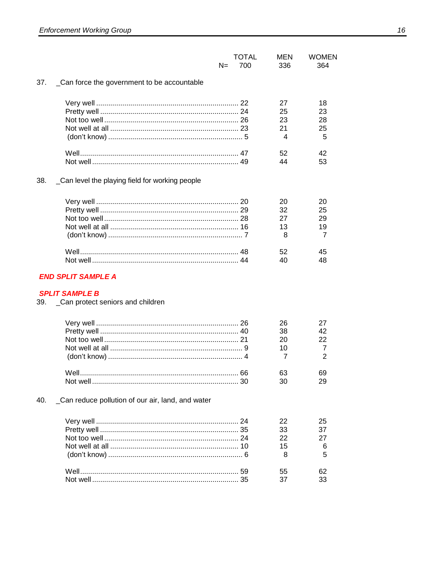|     |                                                 | $N =$ | TOTAL<br>700 | MEN<br>336 | <b>WOMEN</b><br>364 |
|-----|-------------------------------------------------|-------|--------------|------------|---------------------|
| 37. | _Can force the government to be accountable     |       |              |            |                     |
|     |                                                 |       |              | 27         | 18                  |
|     |                                                 |       |              | 25         | 23                  |
|     |                                                 |       |              | 23         | 28                  |
|     |                                                 |       |              | 21         | 25                  |
|     |                                                 |       |              | 4          | 5                   |
|     |                                                 |       |              | 52         | 42                  |
|     |                                                 |       |              | 44         | 53                  |
| 38. | _Can level the playing field for working people |       |              |            |                     |
|     |                                                 |       |              | 20         | 20                  |
|     |                                                 |       |              | 32         | 25                  |
|     |                                                 |       |              | 27         | 29                  |
|     |                                                 |       |              | 13         | 19                  |
|     |                                                 |       |              | 8          | $\overline{7}$      |
|     |                                                 |       |              | 52         | 45                  |
|     |                                                 |       |              | 40         | 48                  |
|     |                                                 |       |              |            |                     |

# **END SPLIT SAMPLE A**

#### **SPLIT SAMPLE B**

39. Can protect seniors and children

|  | 38 |  |
|--|----|--|
|  |    |  |
|  |    |  |
|  |    |  |
|  | 63 |  |
|  |    |  |

#### \_Can reduce pollution of our air, land, and water 40.

|  | 22              |                 |
|--|-----------------|-----------------|
|  | 33              | $\overline{37}$ |
|  | 22 <sub>2</sub> |                 |
|  | 15              |                 |
|  |                 |                 |
|  | 55              |                 |
|  | 37              |                 |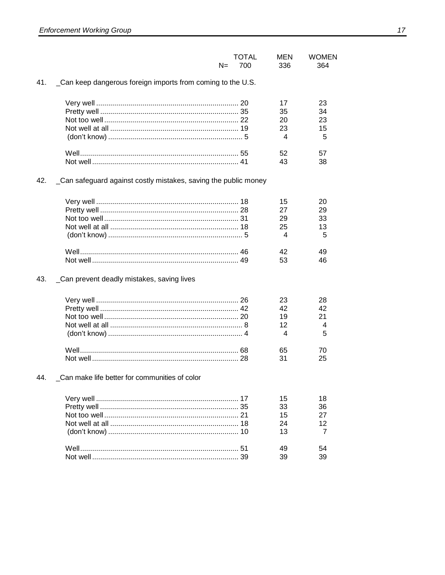|     | $N=$                                                           | <b>TOTAL</b><br>700 | MEN<br>336 | <b>WOMEN</b><br>364 |
|-----|----------------------------------------------------------------|---------------------|------------|---------------------|
| 41. | _Can keep dangerous foreign imports from coming to the U.S.    |                     |            |                     |
|     |                                                                |                     | 17         | 23                  |
|     |                                                                |                     | 35         | 34                  |
|     |                                                                |                     | 20         | 23                  |
|     |                                                                |                     | 23<br>4    | 15<br>5             |
|     |                                                                |                     | 52         | 57                  |
|     |                                                                |                     | 43         | 38                  |
| 42. | Can safeguard against costly mistakes, saving the public money |                     |            |                     |
|     |                                                                |                     | 15         | 20                  |
|     |                                                                |                     | 27         | 29                  |
|     |                                                                |                     | 29         | 33                  |
|     |                                                                |                     | 25         | 13                  |
|     |                                                                |                     | 4          | 5                   |
|     |                                                                |                     | 42         | 49                  |
|     |                                                                |                     | 53         | 46                  |
| 43. | _Can prevent deadly mistakes, saving lives                     |                     |            |                     |
|     |                                                                |                     | 23         | 28                  |
|     |                                                                |                     | 42         | 42                  |
|     |                                                                |                     | 19         | 21                  |
|     |                                                                |                     | 12         | 4                   |
|     |                                                                |                     | 4          | 5                   |
|     |                                                                |                     | 65         | 70                  |
|     |                                                                |                     | 31         | 25                  |
| 44. | _Can make life better for communities of color                 |                     |            |                     |
|     |                                                                |                     | 15         | 18                  |
|     |                                                                |                     | 33         | 36                  |
|     |                                                                |                     | 15         | 27                  |
|     |                                                                |                     | 24         | 12                  |
|     |                                                                |                     | 13         | 7                   |
|     |                                                                |                     | 49         | 54                  |
|     |                                                                |                     | 39         | 39                  |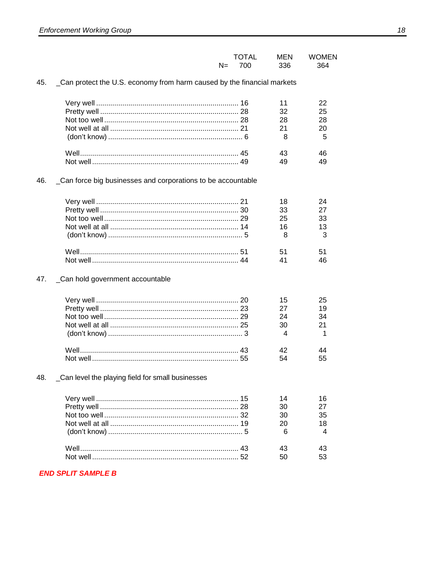|       | <b>TOTAL</b> | MEN | <b>WOMEN</b> |
|-------|--------------|-----|--------------|
| $N =$ | 700          | 336 | 364          |

#### 45. \_Can protect the U.S. economy from harm caused by the financial markets

|  |    | 25 |
|--|----|----|
|  | 28 | 28 |
|  |    |    |
|  |    |    |
|  |    |    |
|  |    |    |

#### 46. Can force big businesses and corporations to be accountable

|  | 33 |              |
|--|----|--------------|
|  | 25 | -33          |
|  | 16 |              |
|  |    | $\mathbf{P}$ |
|  | 51 |              |
|  |    |              |

#### 47. Can hold government accountable

|  | 15<br>27<br>24<br>30 | 25<br>34<br>21 |
|--|----------------------|----------------|
|  |                      | 55             |

#### \_Can level the playing field for small businesses 48.

|  | 14 |     |
|--|----|-----|
|  | 30 |     |
|  | 30 | -35 |
|  |    |     |
|  |    |     |
|  |    |     |
|  |    |     |

#### **END SPLIT SAMPLE B**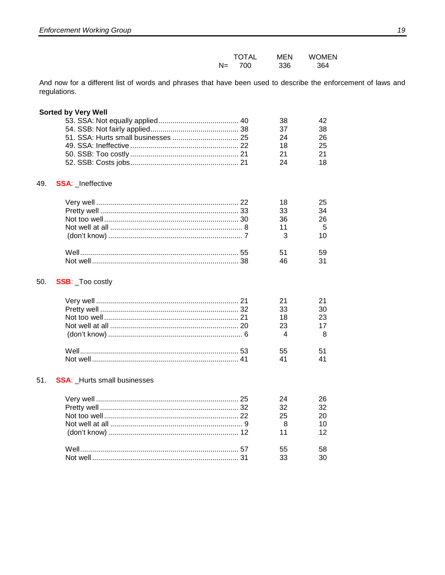|       | <b>TOTAL</b> | MEN | <b>WOMEN</b> |
|-------|--------------|-----|--------------|
| $N =$ | 700          | 336 | 364          |

And now for a different list of words and phrases that have been used to describe the enforcement of laws and regulations.

#### **Sorted by Very Well**

|  | - 38 |      |
|--|------|------|
|  | -37  | 38   |
|  | 24   | 26   |
|  | 18   | -25  |
|  | 21   | - 21 |
|  | 24   |      |

#### 49. SSA: Ineffective

|  |    | 25 |
|--|----|----|
|  | 33 | 34 |
|  | 36 | 26 |
|  |    |    |
|  |    |    |
|  | 51 |    |
|  |    |    |

#### SSB: \_Too costly 50.

|  | 23 |
|--|----|
|  |    |
|  |    |

#### 51. **SSA:** \_Hurts small businesses

|  | 32<br>25<br>11 | 32 |
|--|----------------|----|
|  | 55<br>$3^{3}$  | 58 |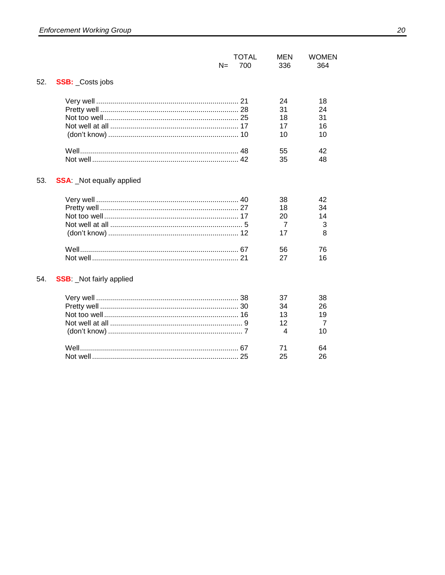|     |                                 | $N=$ | <b>TOTAL</b><br>700 | <b>MEN</b><br>336 | <b>WOMEN</b><br>364 |
|-----|---------------------------------|------|---------------------|-------------------|---------------------|
| 52. | <b>SSB:</b> Costs jobs          |      |                     |                   |                     |
|     |                                 |      |                     | 24                | 18                  |
|     |                                 |      |                     | 31                | 24                  |
|     |                                 |      |                     | 18                | 31                  |
|     |                                 |      |                     | 17                | 16                  |
|     |                                 |      |                     | 10                | 10                  |
|     |                                 |      |                     | 55                | 42                  |
|     |                                 |      |                     | 35                | 48                  |
| 53. | <b>SSA:</b> Not equally applied |      |                     |                   |                     |
|     |                                 |      |                     | 38                | 42                  |
|     |                                 |      |                     | 18                | 34                  |
|     |                                 |      |                     | 20                | 14                  |
|     |                                 |      |                     | 7                 | 3                   |
|     |                                 |      |                     | 17                | 8                   |
|     |                                 |      |                     | 56                | 76                  |
|     |                                 |      |                     | 27                | 16                  |
| 54. | <b>SSB:</b> Not fairly applied  |      |                     |                   |                     |
|     |                                 |      |                     | 37                | 38                  |
|     |                                 |      |                     | 34                | 26                  |
|     |                                 |      |                     | 13                | 19                  |
|     |                                 |      |                     | 12                | 7                   |
|     |                                 |      |                     | $\overline{4}$    | 10                  |
|     |                                 |      |                     | 71                | 64                  |
|     |                                 |      |                     | 25                | 26                  |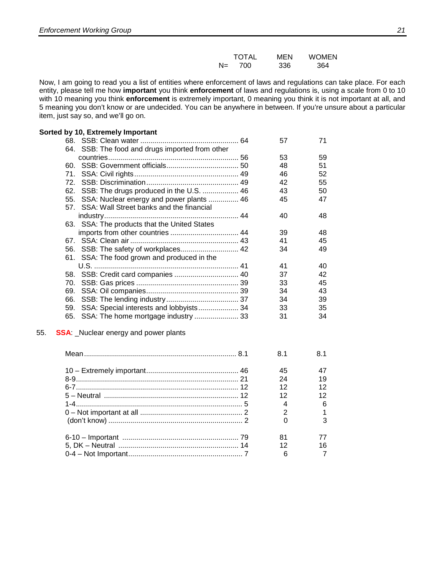|       | <b>TOTAL</b> | MEN | <b>WOMEN</b> |
|-------|--------------|-----|--------------|
| $N =$ | 700          | 336 | 364          |

Now, I am going to read you a list of entities where enforcement of laws and regulations can take place. For each entity, please tell me how **important** you think **enforcement** of laws and regulations is, using a scale from 0 to 10 with 10 meaning you think **enforcement** is extremely important, 0 meaning you think it is not important at all, and 5 meaning you don't know or are undecided. You can be anywhere in between. If you're unsure about a particular item, just say so, and we'll go on.

#### **Sorted by 10, Extremely Important**

| 68.                                             | 57 | 71 |
|-------------------------------------------------|----|----|
| 64. SSB: The food and drugs imported from other |    |    |
|                                                 | 53 | 59 |
| 60.                                             | 48 | 51 |
| 71.                                             | 46 | 52 |
| 72.                                             | 42 | 55 |
| 62. SSB: The drugs produced in the U.S.  46     | 43 | 50 |
| 55. SSA: Nuclear energy and power plants  46    | 45 | 47 |
| 57. SSA: Wall Street banks and the financial    |    |    |
|                                                 | 40 | 48 |
| 63. SSA: The products that the United States    |    |    |
|                                                 | 39 | 48 |
|                                                 | 41 | 45 |
|                                                 | 34 | 49 |
| 61. SSA: The food grown and produced in the     |    |    |
|                                                 | 41 | 40 |
|                                                 | 37 | 42 |
| 70.                                             | 33 | 45 |
| 69.                                             | 34 | 43 |
| 66.                                             | 34 | 39 |
| 59.                                             | 33 | 35 |
| SSA: The home mortgage industry  33<br>65.      | 31 | 34 |
|                                                 |    |    |

#### 55. **SSA**: \_Nuclear energy and power plants

|  | 81 |    |
|--|----|----|
|  | 45 |    |
|  | 24 | 19 |
|  | 12 | 12 |
|  | 12 |    |
|  |    |    |
|  |    |    |
|  |    |    |
|  | 81 |    |
|  | 12 | 16 |
|  | 6  |    |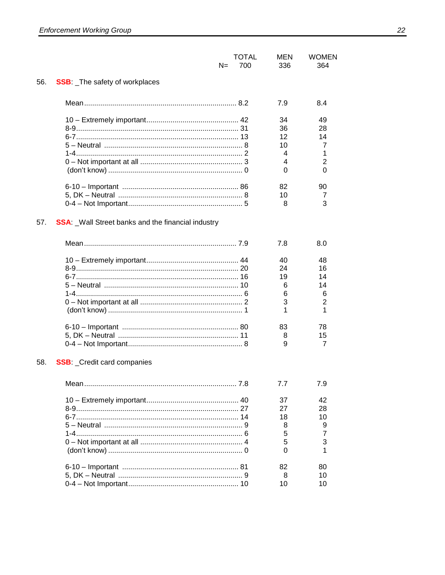|     |                                                          | N= | <b>TOTAL</b><br>700 | MEN<br>336 | <b>WOMEN</b><br>364 |
|-----|----------------------------------------------------------|----|---------------------|------------|---------------------|
| 56. | <b>SSB:</b> The safety of workplaces                     |    |                     |            |                     |
|     |                                                          |    |                     | 7.9        | 8.4                 |
|     |                                                          |    |                     | 34         | 49                  |
|     |                                                          |    |                     | 36         | 28                  |
|     |                                                          |    |                     | 12         | 14                  |
|     |                                                          |    |                     | 10         | 7                   |
|     |                                                          |    |                     | 4          | 1                   |
|     |                                                          |    |                     | 4          | 2                   |
|     |                                                          |    |                     | 0          | 0                   |
|     |                                                          |    |                     | 82         | 90                  |
|     |                                                          |    |                     | 10         | 7                   |
|     |                                                          |    |                     | 8          | 3                   |
| 57. | <b>SSA:</b> Wall Street banks and the financial industry |    |                     |            |                     |
|     |                                                          |    |                     | 7.8        | 8.0                 |
|     |                                                          |    |                     | 40         | 48                  |
|     |                                                          |    |                     | 24         | 16                  |
|     |                                                          |    |                     | 19         | 14                  |
|     |                                                          |    |                     | 6          | 14                  |
|     |                                                          |    |                     | 6          | 6                   |
|     |                                                          |    |                     | 3          | 2                   |
|     |                                                          |    |                     | 1          | 1                   |
|     |                                                          |    |                     | 83         | 78                  |
|     |                                                          |    |                     | 8          | 15                  |
|     |                                                          |    |                     | 9          | 7                   |
| 58. | <b>SSB:</b> _Credit card companies                       |    |                     |            |                     |
|     |                                                          |    |                     | 7.7        | 7.9                 |
|     |                                                          |    |                     | 37         | 42                  |
|     |                                                          |    |                     | 27         | 28                  |
|     |                                                          |    |                     | 18         | 10                  |
|     |                                                          |    |                     | 8          | 9                   |
|     |                                                          |    |                     | 5          | $\overline{7}$      |
|     |                                                          |    |                     | 5          | 3                   |
|     |                                                          |    |                     | 0          | 1                   |
|     |                                                          |    |                     | 82         | 80                  |
|     |                                                          |    |                     | 8          | 10                  |
|     |                                                          |    |                     | 10         | 10                  |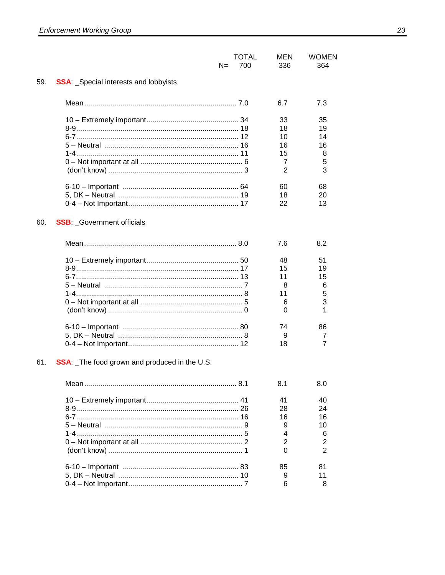|     | N=                                                  | <b>TOTAL</b><br>700 | <b>MEN</b><br>336 | <b>WOMEN</b><br>364 |
|-----|-----------------------------------------------------|---------------------|-------------------|---------------------|
| 59. | <b>SSA</b> Special interests and lobbyists          |                     |                   |                     |
|     |                                                     |                     | 6.7               | 7.3                 |
|     |                                                     |                     | 33                | 35                  |
|     |                                                     |                     | 18                | 19                  |
|     |                                                     |                     | 10                | 14                  |
|     | 5 – Neutral ……………………………………………………… 16                |                     | 16                | 16                  |
|     |                                                     |                     | 15                | 8                   |
|     |                                                     |                     | 7                 | 5                   |
|     |                                                     |                     | 2                 | 3                   |
|     |                                                     |                     | 60                | 68                  |
|     |                                                     |                     | 18                | 20                  |
|     |                                                     |                     | 22                | 13                  |
| 60. | <b>SSB: Government officials</b>                    |                     |                   |                     |
|     |                                                     |                     | 7.6               | 8.2                 |
|     |                                                     |                     | 48                | 51                  |
|     |                                                     |                     | 15                | 19                  |
|     |                                                     |                     | 11                | 15                  |
|     |                                                     |                     | 8                 | 6                   |
|     |                                                     |                     | 11                | 5                   |
|     |                                                     |                     | 6                 | 3                   |
|     |                                                     |                     | 0                 | 1                   |
|     |                                                     |                     | 74                | 86                  |
|     |                                                     |                     | 9                 | 7                   |
|     |                                                     |                     | 18                | 7                   |
| 61. | <b>SSA:</b> The food grown and produced in the U.S. |                     |                   |                     |
|     |                                                     |                     | 8.1               | 8.0                 |
|     |                                                     |                     | 41                | 40                  |
|     |                                                     |                     | 28                | 24                  |
|     |                                                     |                     | 16                | 16                  |
|     |                                                     |                     | 9                 | 10                  |
|     |                                                     |                     | 4                 | 6                   |
|     |                                                     |                     | $\overline{2}$    | 2                   |
|     |                                                     |                     | 0                 | 2                   |
|     |                                                     |                     | 85                | 81                  |
|     |                                                     |                     | 9                 | 11                  |
|     |                                                     |                     | 6                 | 8                   |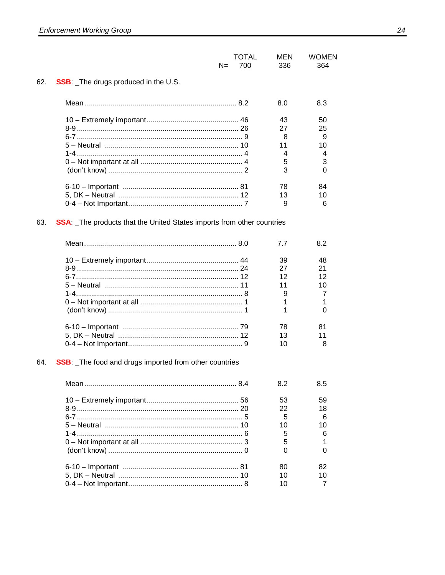|     | N=                                                                           | <b>TOTAL</b><br>700 | MEN<br>336 | <b>WOMEN</b><br>364 |
|-----|------------------------------------------------------------------------------|---------------------|------------|---------------------|
| 62. | <b>SSB:</b> The drugs produced in the U.S.                                   |                     |            |                     |
|     |                                                                              |                     | 8.0        | 8.3                 |
|     |                                                                              |                     | 43         | 50                  |
|     |                                                                              |                     | 27         | 25                  |
|     |                                                                              |                     | 8          | 9                   |
|     |                                                                              |                     | 11         | 10                  |
|     |                                                                              |                     | 4<br>5     | 4<br>3              |
|     |                                                                              |                     | 3          | 0                   |
|     |                                                                              |                     | 78         | 84                  |
|     |                                                                              |                     | 13         | 10                  |
|     |                                                                              |                     | 9          | 6                   |
| 63. | <b>SSA:</b> The products that the United States imports from other countries |                     |            |                     |
|     |                                                                              |                     | 7.7        | 8.2                 |
|     |                                                                              |                     | 39         | 48                  |
|     |                                                                              |                     | 27         | 21                  |
|     |                                                                              |                     | 12         | 12                  |
|     |                                                                              |                     | 11         | 10                  |
|     |                                                                              |                     | 9          | 7                   |
|     |                                                                              |                     | 1<br>1     | 1<br>0              |
|     |                                                                              |                     | 78         | 81                  |
|     |                                                                              |                     | 13         | 11                  |
|     |                                                                              |                     | 10         | 8                   |
| 64. | <b>SSB</b> : The food and drugs imported from other countries                |                     |            |                     |
|     |                                                                              |                     | 8.2        | 8.5                 |
|     |                                                                              |                     | 53         | 59                  |
|     |                                                                              |                     | 22         | 18                  |
|     |                                                                              |                     | 5          | 6                   |
|     |                                                                              |                     | 10         | 10                  |
|     |                                                                              |                     | 5          | 6                   |
|     |                                                                              |                     | 5<br>0     | 1<br>0              |
|     |                                                                              |                     | 80         | 82                  |
|     |                                                                              |                     | 10         | 10                  |
|     |                                                                              |                     | 10         | 7                   |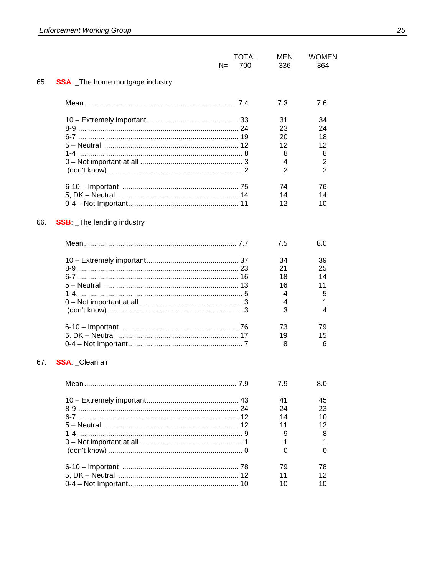|     | N=                                    | <b>TOTAL</b><br>700 | MEN<br>336     | <b>WOMEN</b><br>364 |
|-----|---------------------------------------|---------------------|----------------|---------------------|
| 65. | <b>SSA</b> The home mortgage industry |                     |                |                     |
|     |                                       |                     | 7.3            | 7.6                 |
|     |                                       |                     | 31             | 34                  |
|     |                                       |                     | 23             | 24                  |
|     |                                       |                     | 20             | 18                  |
|     |                                       |                     | 12             | 12                  |
|     |                                       |                     | 8              | 8                   |
|     |                                       |                     | 4              | $\overline{2}$      |
|     |                                       |                     | $\overline{2}$ | $\overline{2}$      |
|     |                                       |                     | 74             | 76                  |
|     |                                       |                     | 14             | 14                  |
|     |                                       |                     | 12             | 10                  |
| 66. | <b>SSB:</b> The lending industry      |                     |                |                     |
|     |                                       |                     | 7.5            | 8.0                 |
|     |                                       |                     | 34             | 39                  |
|     |                                       |                     | 21             | 25                  |
|     |                                       |                     | 18             | 14                  |
|     | 5 – Neutral ……………………………………………………… 13  |                     | 16             | 11                  |
|     |                                       |                     | 4              | 5                   |
|     |                                       |                     | 4              | 1                   |
|     |                                       |                     | 3              | 4                   |
|     |                                       |                     | 73             | 79                  |
|     |                                       |                     | 19             | 15                  |
|     |                                       |                     | 8              | 6                   |
| 67. | <b>SSA: Clean air</b>                 |                     |                |                     |
|     |                                       |                     | 7.9            | 8.0                 |
|     |                                       |                     | 41             | 45                  |
|     |                                       |                     | 24             | 23                  |
|     |                                       |                     | 14             | 10                  |
|     |                                       |                     | 11             | 12                  |
|     |                                       |                     | 9              | 8                   |
|     |                                       |                     | 1<br>0         | 1<br>0              |
|     |                                       |                     | 79             | 78                  |
|     |                                       |                     | 11             | 12                  |
|     |                                       |                     | 10             | 10                  |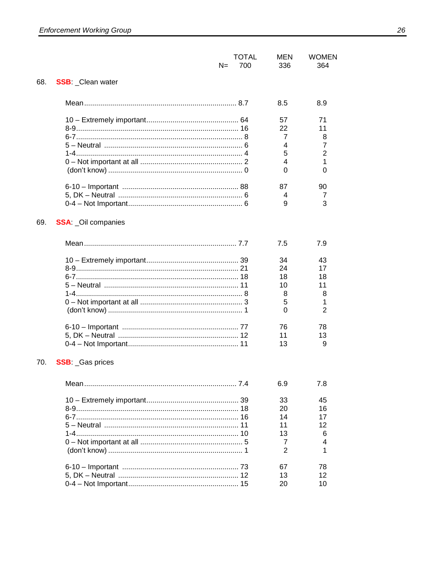|     | N=                                   | <b>TOTAL</b><br>700 | MEN<br>336 | <b>WOMEN</b><br>364 |
|-----|--------------------------------------|---------------------|------------|---------------------|
| 68. | <b>SSB: _Clean water</b>             |                     |            |                     |
|     |                                      |                     | 8.5        | 8.9                 |
|     |                                      |                     | 57         | 71                  |
|     |                                      |                     | 22         | 11                  |
|     |                                      |                     | 7          | 8                   |
|     |                                      |                     | 4          | 7                   |
|     |                                      |                     | 5          | $\overline{2}$      |
|     |                                      |                     | 4          | 1                   |
|     |                                      |                     | 0          | 0                   |
|     |                                      |                     | 87         | 90                  |
|     |                                      |                     | 4          | 7                   |
|     |                                      |                     | 9          | 3                   |
| 69. | <b>SSA: _Oil companies</b>           |                     |            |                     |
|     |                                      |                     | 7.5        | 7.9                 |
|     |                                      |                     | 34         | 43                  |
|     |                                      |                     | 24         | 17                  |
|     |                                      |                     | 18         | 18                  |
|     | 5 – Neutral ……………………………………………………… 11 |                     | 10         | 11                  |
|     |                                      |                     | 8          | 8                   |
|     |                                      |                     | 5          | 1                   |
|     |                                      |                     | 0          | $\overline{2}$      |
|     |                                      |                     | 76         | 78                  |
|     |                                      |                     | 11         | 13                  |
|     |                                      |                     | 13         | 9                   |
| 70. | <b>SSB: Gas prices</b>               |                     |            |                     |
|     |                                      |                     | 6.9        | 7.8                 |
|     |                                      |                     | 33         | 45                  |
|     |                                      |                     | 20         | 16                  |
|     |                                      |                     | 14         | 17                  |
|     |                                      |                     | 11         | 12                  |
|     |                                      |                     | 13         | 6                   |
|     |                                      |                     | 7<br>2     | 4<br>1              |
|     |                                      |                     | 67         | 78                  |
|     |                                      |                     | 13         | 12                  |
|     |                                      |                     | 20         | 10                  |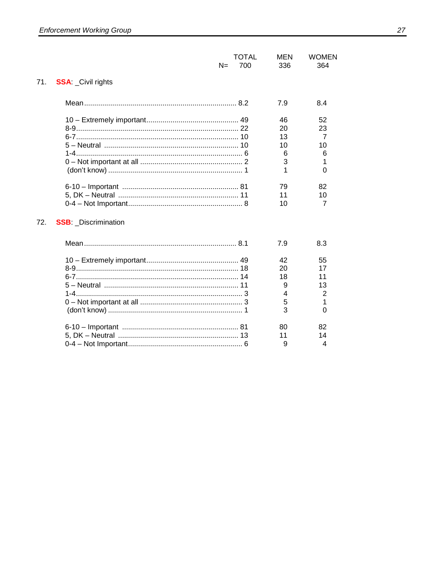|                                   | TOTAL<br>700<br>$N =$ | <b>MEN</b><br>336 | <b>WOMEN</b><br>364 |
|-----------------------------------|-----------------------|-------------------|---------------------|
| 71.<br><b>SSA: Civil rights</b>   |                       |                   |                     |
|                                   |                       | 7.9               | 8.4                 |
|                                   |                       | 46                | 52                  |
|                                   |                       | 20                | 23                  |
|                                   |                       | 13                | 7                   |
|                                   |                       | 10                | 10                  |
|                                   |                       | 6                 | 6                   |
|                                   |                       | 3                 | 1                   |
|                                   |                       | 1                 | $\Omega$            |
|                                   |                       | 79                | 82                  |
|                                   |                       | 11                | 10                  |
|                                   |                       | 10                | 7                   |
| 72.<br><b>SSB:</b> Discrimination |                       |                   |                     |
|                                   |                       | 7.9               | 8.3                 |
|                                   |                       | 42                | 55                  |
|                                   |                       | 20                | 17                  |
|                                   |                       | 18                | 11                  |
|                                   |                       | 9                 | 13                  |
|                                   |                       | 4                 | 2                   |
|                                   |                       | 5                 | 1                   |
|                                   |                       | 3                 | $\Omega$            |
|                                   |                       | 80                | 82                  |
|                                   |                       | 11                | 14                  |
|                                   |                       | 9                 | 4                   |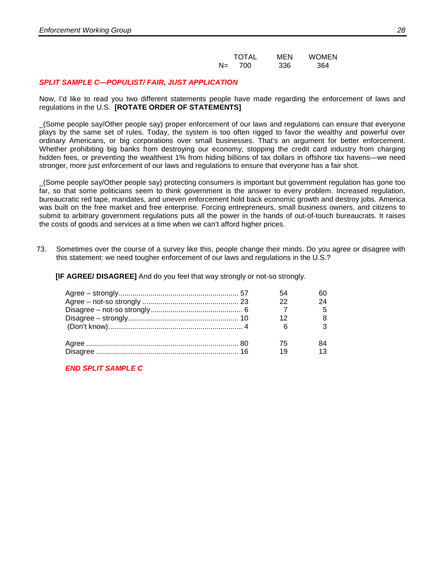|    | <b>TOTAL</b> | MEN | <b>WOMEN</b> |
|----|--------------|-----|--------------|
| N= | 700          | 336 | 364          |

#### *SPLIT SAMPLE C—POPULIST/ FAIR, JUST APPLICATION*

Now, I'd like to read you two different statements people have made regarding the enforcement of laws and regulations in the U.S. **[ROTATE ORDER OF STATEMENTS]**

\_(Some people say/Other people say) proper enforcement of our laws and regulations can ensure that everyone plays by the same set of rules. Today, the system is too often rigged to favor the wealthy and powerful over ordinary Americans, or big corporations over small businesses. That's an argument for better enforcement. Whether prohibiting big banks from destroying our economy, stopping the credit card industry from charging hidden fees, or preventing the wealthiest 1% from hiding billions of tax dollars in offshore tax havens—we need stronger, more just enforcement of our laws and regulations to ensure that everyone has a fair shot.

\_(Some people say/Other people say) protecting consumers is important but government regulation has gone too far, so that some politicians seem to think government is the answer to every problem. Increased regulation, bureaucratic red tape, mandates, and uneven enforcement hold back economic growth and destroy jobs. America was built on the free market and free enterprise. Forcing entrepreneurs, small business owners, and citizens to submit to arbitrary government regulations puts all the power in the hands of out-of-touch bureaucrats. It raises the costs of goods and services at a time when we can't afford higher prices.

73. Sometimes over the course of a survey like this, people change their minds. Do you agree or disagree with this statement: we need tougher enforcement of our laws and regulations in the U.S.?

**[IF AGREE/ DISAGREE]** And do you feel that way strongly or not-so strongly.

|  | 22 |  |
|--|----|--|
|  |    |  |
|  |    |  |
|  |    |  |
|  | 75 |  |
|  |    |  |

*END SPLIT SAMPLE C*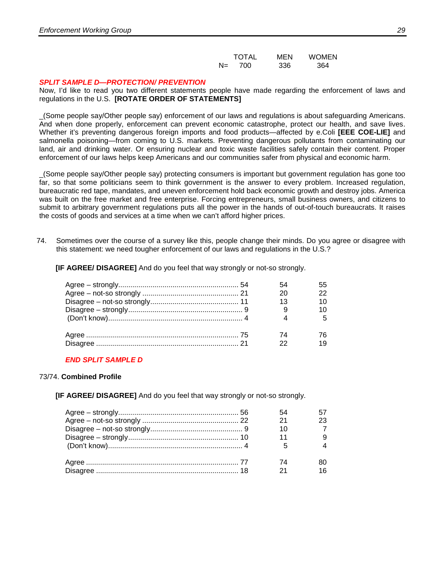|       | <b>TOTAL</b> | MEN | WOMEN |
|-------|--------------|-----|-------|
| $N =$ | 700          | 336 | 364   |

#### *SPLIT SAMPLE D—PROTECTION/ PREVENTION*

Now, I'd like to read you two different statements people have made regarding the enforcement of laws and regulations in the U.S. **[ROTATE ORDER OF STATEMENTS]**

\_(Some people say/Other people say) enforcement of our laws and regulations is about safeguarding Americans. And when done properly, enforcement can prevent economic catastrophe, protect our health, and save lives. Whether it's preventing dangerous foreign imports and food products—affected by e.Coli **[EEE COE-LIE]** and salmonella poisoning—from coming to U.S. markets. Preventing dangerous pollutants from contaminating our land, air and drinking water. Or ensuring nuclear and toxic waste facilities safely contain their content. Proper enforcement of our laws helps keep Americans and our communities safer from physical and economic harm.

\_(Some people say/Other people say) protecting consumers is important but government regulation has gone too far, so that some politicians seem to think government is the answer to every problem. Increased regulation, bureaucratic red tape, mandates, and uneven enforcement hold back economic growth and destroy jobs. America was built on the free market and free enterprise. Forcing entrepreneurs, small business owners, and citizens to submit to arbitrary government regulations puts all the power in the hands of out-of-touch bureaucrats. It raises the costs of goods and services at a time when we can't afford higher prices.

74. Sometimes over the course of a survey like this, people change their minds. Do you agree or disagree with this statement: we need tougher enforcement of our laws and regulations in the U.S.?

**[IF AGREE/ DISAGREE]** And do you feel that way strongly or not-so strongly.

| 13 |  |
|----|--|
|    |  |
|    |  |
| 74 |  |
|    |  |

#### *END SPLIT SAMPLE D*

#### 73/74. **Combined Profile**

**[IF AGREE/ DISAGREE]** And do you feel that way strongly or not-so strongly.

|  | 10 |  |
|--|----|--|
|  |    |  |
|  |    |  |
|  |    |  |
|  |    |  |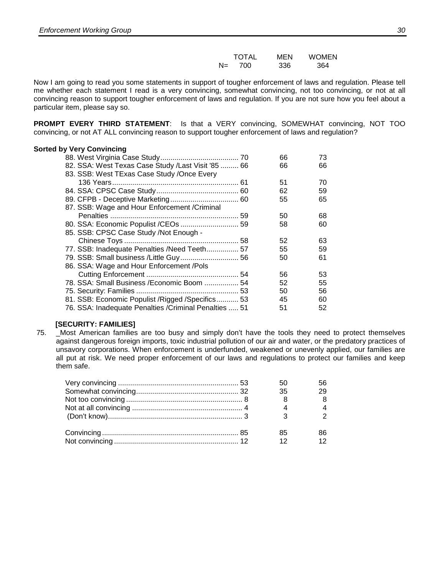|       | <b>TOTAL</b> | MEN | <b>WOMEN</b> |
|-------|--------------|-----|--------------|
| $N =$ | 700          | 336 | 364          |

Now I am going to read you some statements in support of tougher enforcement of laws and regulation. Please tell me whether each statement I read is a very convincing, somewhat convincing, not too convincing, or not at all convincing reason to support tougher enforcement of laws and regulation. If you are not sure how you feel about a particular item, please say so.

**PROMPT EVERY THIRD STATEMENT**: Is that a VERY convincing, SOMEWHAT convincing, NOT TOO convincing, or not AT ALL convincing reason to support tougher enforcement of laws and regulation?

#### **Sorted by Very Convincing**

|                                                        | 66 | 73 |
|--------------------------------------------------------|----|----|
| 82. SSA: West Texas Case Study / Last Visit '85  66    | 66 | 66 |
| 83. SSB: West TExas Case Study / Once Every            |    |    |
|                                                        | 51 | 70 |
|                                                        | 62 | 59 |
|                                                        | 55 | 65 |
| 87. SSB: Wage and Hour Enforcement / Criminal          |    |    |
|                                                        | 50 | 68 |
|                                                        | 58 | 60 |
| 85. SSB: CPSC Case Study /Not Enough -                 |    |    |
|                                                        | 52 | 63 |
| 77. SSB: Inadequate Penalties / Need Teeth 57          | 55 | 59 |
| 79. SSB: Small business / Little Guy 56                | 50 | 61 |
| 86. SSA: Wage and Hour Enforcement /Pols               |    |    |
|                                                        | 56 | 53 |
| 78. SSA: Small Business / Economic Boom  54            | 52 | 55 |
|                                                        | 50 | 56 |
| 81. SSB: Economic Populist / Rigged / Specifics 53     | 45 | 60 |
| 76. SSA: Inadequate Penalties / Criminal Penalties  51 | 51 | 52 |

#### **[SECURITY: FAMILIES]**

75. \_Most American families are too busy and simply don't have the tools they need to protect themselves against dangerous foreign imports, toxic industrial pollution of our air and water, or the predatory practices of unsavory corporations. When enforcement is underfunded, weakened or unevenly applied, our families are all put at risk. We need proper enforcement of our laws and regulations to protect our families and keep them safe.

|  | 35 | 29 |
|--|----|----|
|  |    |    |
|  |    |    |
|  |    |    |
|  | 85 | 86 |
|  | 12 |    |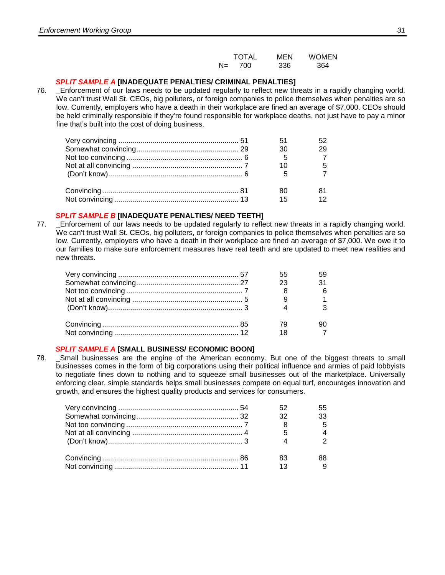|       | <b>TOTAL</b> | MEN | <b>WOMEN</b> |
|-------|--------------|-----|--------------|
| $N =$ | 700          | 336 | 364          |

#### *SPLIT SAMPLE A* **[INADEQUATE PENALTIES/ CRIMINAL PENALTIES]**

76. \_Enforcement of our laws needs to be updated regularly to reflect new threats in a rapidly changing world. We can't trust Wall St. CEOs, big polluters, or foreign companies to police themselves when penalties are so low. Currently, employers who have a death in their workplace are fined an average of \$7,000. CEOs should be held criminally responsible if they're found responsible for workplace deaths, not just have to pay a minor fine that's built into the cost of doing business.

|  | 30 | 29 |
|--|----|----|
|  |    |    |
|  |    |    |
|  |    |    |
|  |    |    |
|  | 15 |    |

#### *SPLIT SAMPLE B* **[INADEQUATE PENALTIES/ NEED TEETH]**

77. \_Enforcement of our laws needs to be updated regularly to reflect new threats in a rapidly changing world. We can't trust Wall St. CEOs, big polluters, or foreign companies to police themselves when penalties are so low. Currently, employers who have a death in their workplace are fined an average of \$7,000. We owe it to our families to make sure enforcement measures have real teeth and are updated to meet new realities and new threats.

|  | 55  |    |
|--|-----|----|
|  | -23 | 31 |
|  |     |    |
|  |     |    |
|  |     |    |
|  |     |    |
|  |     |    |

#### *SPLIT SAMPLE A* **[SMALL BUSINESS/ ECONOMIC BOON]**

78. \_Small businesses are the engine of the American economy. But one of the biggest threats to small businesses comes in the form of big corporations using their political influence and armies of paid lobbyists to negotiate fines down to nothing and to squeeze small businesses out of the marketplace. Universally enforcing clear, simple standards helps small businesses compete on equal turf, encourages innovation and growth, and ensures the highest quality products and services for consumers.

|  |      | 55 |
|--|------|----|
|  | - 32 | 33 |
|  |      |    |
|  |      |    |
|  |      |    |
|  | 83   | 88 |
|  | 13   |    |
|  |      |    |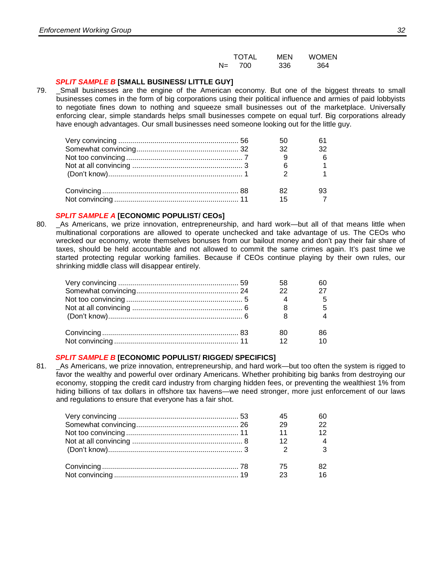|     | <b>TOTAL</b> | MEN | <b>WOMEN</b> |
|-----|--------------|-----|--------------|
| N=. | - 700        | 336 | 364          |

#### *SPLIT SAMPLE B* **[SMALL BUSINESS/ LITTLE GUY]**

79. \_Small businesses are the engine of the American economy. But one of the biggest threats to small businesses comes in the form of big corporations using their political influence and armies of paid lobbyists to negotiate fines down to nothing and squeeze small businesses out of the marketplace. Universally enforcing clear, simple standards helps small businesses compete on equal turf. Big corporations already have enough advantages. Our small businesses need someone looking out for the little guy.

|  | 32  |                |
|--|-----|----------------|
|  |     |                |
|  |     |                |
|  |     |                |
|  | 82. |                |
|  | 15  | $\overline{7}$ |

#### *SPLIT SAMPLE A* **[ECONOMIC POPULIST/ CEOs]**

80. \_As Americans, we prize innovation, entrepreneurship, and hard work—but all of that means little when multinational corporations are allowed to operate unchecked and take advantage of us. The CEOs who wrecked our economy, wrote themselves bonuses from our bailout money and don't pay their fair share of taxes, should be held accountable and not allowed to commit the same crimes again. It's past time we started protecting regular working families. Because if CEOs continue playing by their own rules, our shrinking middle class will disappear entirely.

|  | 22 |  |
|--|----|--|
|  |    |  |
|  |    |  |
|  |    |  |
|  | 80 |  |
|  |    |  |

#### *SPLIT SAMPLE B* **[ECONOMIC POPULIST/ RIGGED/ SPECIFICS]**

81. \_As Americans, we prize innovation, entrepreneurship, and hard work—but too often the system is rigged to favor the wealthy and powerful over ordinary Americans. Whether prohibiting big banks from destroying our economy, stopping the credit card industry from charging hidden fees, or preventing the wealthiest 1% from hiding billions of tax dollars in offshore tax havens—we need stronger, more just enforcement of our laws and regulations to ensure that everyone has a fair shot.

|  | 29 | 22 |
|--|----|----|
|  | 11 | 12 |
|  |    |    |
|  |    | 2  |
|  | 75 |    |
|  | 23 |    |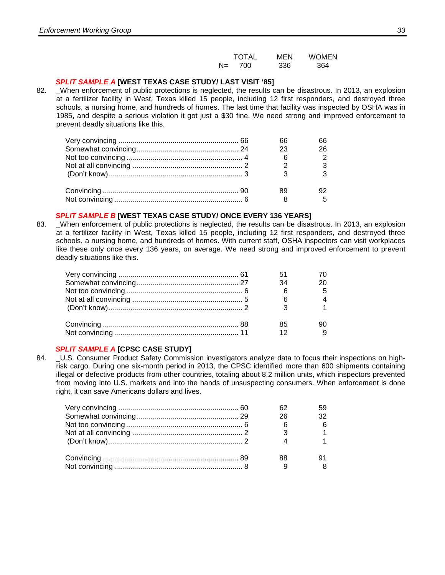|      | <b>TOTAL</b> | MEN | <b>WOMEN</b> |
|------|--------------|-----|--------------|
| $N=$ | 700          | 336 | 364          |

#### *SPLIT SAMPLE A* **[WEST TEXAS CASE STUDY/ LAST VISIT '85]**

82. \_When enforcement of public protections is neglected, the results can be disastrous. In 2013, an explosion at a fertilizer facility in West, Texas killed 15 people, including 12 first responders, and destroyed three schools, a nursing home, and hundreds of homes. The last time that facility was inspected by OSHA was in 1985, and despite a serious violation it got just a \$30 fine. We need strong and improved enforcement to prevent deadly situations like this.

|  | 23 | 26 |
|--|----|----|
|  |    |    |
|  |    |    |
|  |    |    |
|  |    |    |
|  |    |    |

#### *SPLIT SAMPLE B* **[WEST TEXAS CASE STUDY/ ONCE EVERY 136 YEARS]**

83. \_When enforcement of public protections is neglected, the results can be disastrous. In 2013, an explosion at a fertilizer facility in West, Texas killed 15 people, including 12 first responders, and destroyed three schools, a nursing home, and hundreds of homes. With current staff, OSHA inspectors can visit workplaces like these only once every 136 years, on average. We need strong and improved enforcement to prevent deadly situations like this.

|  | -51  |             |
|--|------|-------------|
|  | - 34 | 20          |
|  |      | $5^{\circ}$ |
|  |      |             |
|  |      |             |
|  | 85   |             |
|  |      |             |

#### *SPLIT SAMPLE A* **[CPSC CASE STUDY]**

84. U.S. Consumer Product Safety Commission investigators analyze data to focus their inspections on highrisk cargo. During one six-month period in 2013, the CPSC identified more than 600 shipments containing illegal or defective products from other countries, totaling about 8.2 million units, which inspectors prevented from moving into U.S. markets and into the hands of unsuspecting consumers. When enforcement is done right, it can save Americans dollars and lives.

|  |     | 59 |
|--|-----|----|
|  | -26 | 32 |
|  |     |    |
|  |     |    |
|  |     |    |
|  | 88  |    |
|  |     |    |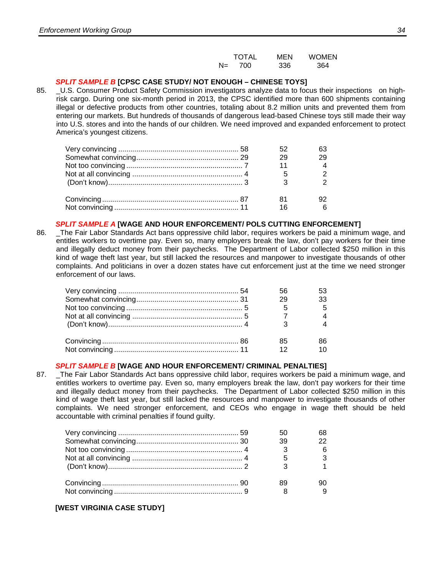|       | <b>TOTAL</b> | MEN | <b>WOMEN</b> |
|-------|--------------|-----|--------------|
| $N =$ | 700          | 336 | 364          |

### *SPLIT SAMPLE B* **[CPSC CASE STUDY/ NOT ENOUGH – CHINESE TOYS]**

85. LU.S. Consumer Product Safety Commission investigators analyze data to focus their inspections on highrisk cargo. During one six-month period in 2013, the CPSC identified more than 600 shipments containing illegal or defective products from other countries, totaling about 8.2 million units and prevented them from entering our markets. But hundreds of thousands of dangerous lead-based Chinese toys still made their way into U.S. stores and into the hands of our children. We need improved and expanded enforcement to protect America's youngest citizens.

|  | 29 |  |
|--|----|--|
|  |    |  |
|  |    |  |
|  |    |  |
|  |    |  |
|  | 16 |  |

#### *SPLIT SAMPLE A* **[WAGE AND HOUR ENFORCEMENT/ POLS CUTTING ENFORCEMENT]**

86. \_The Fair Labor Standards Act bans oppressive child labor, requires workers be paid a minimum wage, and entitles workers to overtime pay. Even so, many employers break the law, don't pay workers for their time and illegally deduct money from their paychecks. The Department of Labor collected \$250 million in this kind of wage theft last year, but still lacked the resources and manpower to investigate thousands of other complaints. And politicians in over a dozen states have cut enforcement just at the time we need stronger enforcement of our laws.

|  | 56 |    |
|--|----|----|
|  | 29 | 33 |
|  |    |    |
|  |    |    |
|  |    |    |
|  | 85 |    |
|  | 12 |    |

### *SPLIT SAMPLE B* **[WAGE AND HOUR ENFORCEMENT/ CRIMINAL PENALTIES]**

87. \_The Fair Labor Standards Act bans oppressive child labor, requires workers be paid a minimum wage, and entitles workers to overtime pay. Even so, many employers break the law, don't pay workers for their time and illegally deduct money from their paychecks. The Department of Labor collected \$250 million in this kind of wage theft last year, but still lacked the resources and manpower to investigate thousands of other complaints. We need stronger enforcement, and CEOs who engage in wage theft should be held accountable with criminal penalties if found guilty.

|  | 39 |  |
|--|----|--|
|  |    |  |
|  |    |  |
|  |    |  |
|  |    |  |
|  |    |  |
|  |    |  |
|  |    |  |

### **[WEST VIRGINIA CASE STUDY]**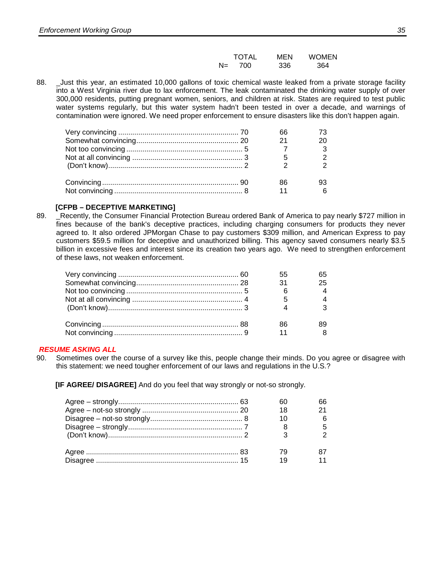|       | <b>TOTAL</b> | MEN | <b>WOMEN</b> |
|-------|--------------|-----|--------------|
| $N =$ | 700          | 336 | 364          |

88. Lust this year, an estimated 10,000 gallons of toxic chemical waste leaked from a private storage facility into a West Virginia river due to lax enforcement. The leak contaminated the drinking water supply of over 300,000 residents, putting pregnant women, seniors, and children at risk. States are required to test public water systems regularly, but this water system hadn't been tested in over a decade, and warnings of contamination were ignored. We need proper enforcement to ensure disasters like this don't happen again.

|  | 21 |  |
|--|----|--|
|  |    |  |
|  |    |  |
|  |    |  |
|  | 86 |  |
|  |    |  |

### **[CFPB – DECEPTIVE MARKETING]**

89. Eecently, the Consumer Financial Protection Bureau ordered Bank of America to pay nearly \$727 million in fines because of the bank's deceptive practices, including charging consumers for products they never agreed to. It also ordered JPMorgan Chase to pay customers \$309 million, and American Express to pay customers \$59.5 million for deceptive and unauthorized billing. This agency saved consumers nearly \$3.5 billion in excessive fees and interest since its creation two years ago. We need to strengthen enforcement of these laws, not weaken enforcement.

|  |    | 65 |
|--|----|----|
|  | 31 | 25 |
|  |    |    |
|  |    |    |
|  |    | 3  |
|  | 86 |    |
|  | 11 |    |

### *RESUME ASKING ALL*

90. Sometimes over the course of a survey like this, people change their minds. Do you agree or disagree with this statement: we need tougher enforcement of our laws and regulations in the U.S.?

**[IF AGREE/ DISAGREE]** And do you feel that way strongly or not-so strongly.

|  | 18 |  |
|--|----|--|
|  |    |  |
|  |    |  |
|  |    |  |
|  |    |  |
|  |    |  |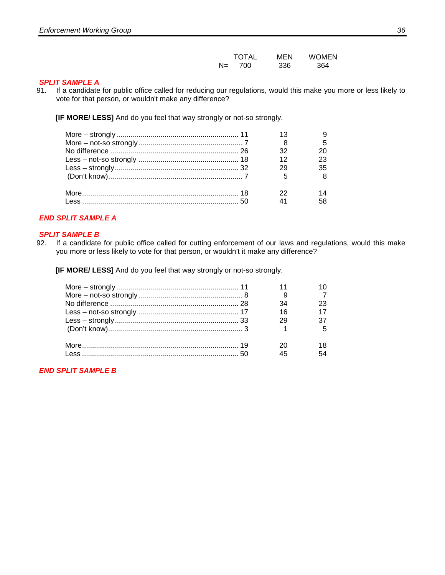|       | <b>TOTAL</b> | MEN | <b>WOMEN</b> |
|-------|--------------|-----|--------------|
| $N =$ | 700          | 336 | 364          |

#### *SPLIT SAMPLE A*

91. If a candidate for public office called for reducing our regulations, would this make you more or less likely to vote for that person, or wouldn't make any difference?

**[IF MORE/ LESS]** And do you feel that way strongly or not-so strongly.

|  | 32          |        |
|--|-------------|--------|
|  | 12          |        |
|  | 29          | 35     |
|  | $5^{\circ}$ |        |
|  | 22          |        |
|  |             | 41 - 1 |

### *END SPLIT SAMPLE A*

# **SPLIT SAMPLE B**<br>92. If a candidate

If a candidate for public office called for cutting enforcement of our laws and regulations, would this make you more or less likely to vote for that person, or wouldn't it make any difference?

**[IF MORE/ LESS]** And do you feel that way strongly or not-so strongly.

|  | 34 |  |
|--|----|--|
|  | 16 |  |
|  | 29 |  |
|  |    |  |
|  |    |  |
|  |    |  |

*END SPLIT SAMPLE B*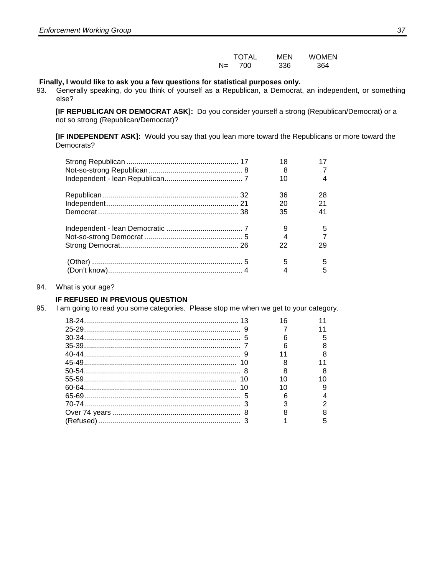|       | <b>TOTAL</b> | MEN | <b>WOMEN</b> |
|-------|--------------|-----|--------------|
| $N =$ | 700          | 336 | 364          |

# **Finally, I would like to ask you a few questions for statistical purposes only.**<br>
93. Generally speaking, do you think of yourself as a Republican, a Democrat

Generally speaking, do you think of yourself as a Republican, a Democrat, an independent, or something else?

**[IF REPUBLICAN OR DEMOCRAT ASK]:** Do you consider yourself a strong (Republican/Democrat) or a not so strong (Republican/Democrat)?

**[IF INDEPENDENT ASK]:** Would you say that you lean more toward the Republicans or more toward the Democrats?

| 18 |    |
|----|----|
| 8  |    |
| 10 |    |
| 36 | 28 |
| 20 | 21 |
| 35 | 41 |
|    | 5  |
|    |    |
| 22 | 29 |
| 5  |    |
|    | 5  |

#### 94. What is your age?

#### **IF REFUSED IN PREVIOUS QUESTION**

95. I am going to read you some categories. Please stop me when we get to your category.